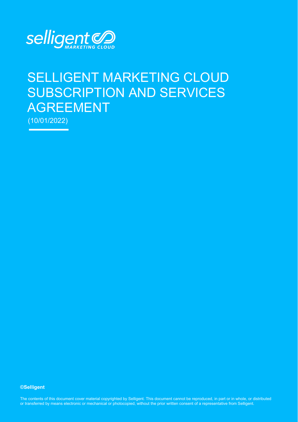

# SELLIGENT MARKETING CLOUD SUBSCRIPTION AND SERVICES AGREEMENT

(10/01/2022)

#### **©Selligent**

The contents of this document cover material copyrighted by Selligent. This document cannot be reproduced, in part or in whole, or distributed or transferred by means electronic or mechanical or photocopied, without the prior written consent of a representative from Selligent.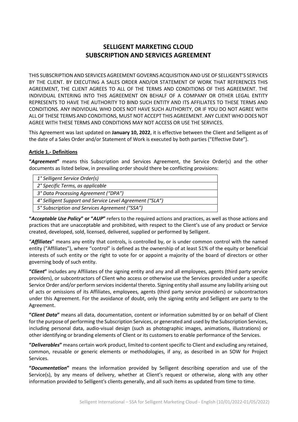# **SELLIGENT MARKETING CLOUD SUBSCRIPTION AND SERVICES AGREEMENT**

THIS SUBSCRIPTION AND SERVICES AGREEMENT GOVERNS ACQUISITION AND USE OF SELLIGENT'S SERVICES BY THE CLIENT. BY EXECUTING A SALES ORDER AND/OR STATEMENT OF WORK THAT REFERENCES THIS AGREEMENT, THE CLIENT AGREES TO ALL OF THE TERMS AND CONDITIONS OF THIS AGREEMENT. THE INDIVIDUAL ENTERING INTO THIS AGREEMENT ON BEHALF OF A COMPANY OR OTHER LEGAL ENTITY REPRESENTS TO HAVE THE AUTHORITY TO BIND SUCH ENTITY AND ITS AFFILIATES TO THESE TERMS AND CONDITIONS. ANY INDIVIDUAL WHO DOES NOT HAVE SUCH AUTHORITY, OR IF YOU DO NOT AGREE WITH ALL OF THESE TERMS AND CONDITIONS, MUST NOT ACCEPT THIS AGREEMENT. ANY CLIENT WHO DOES NOT AGREE WITH THESE TERMS AND CONDITIONS MAY NOT ACCESS OR USE THE SERVICES.

This Agreement was last updated on **January 10, 2022**, it is effective between the Client and Selligent as of the date of a Sales Order and/or Statement of Work is executed by both parties ("Effective Date").

#### **Article 1.- Definitions**

**"***Agreement***"** means this Subscription and Services Agreement, the Service Order(s) and the other documents as listed below, in prevailing order should there be conflicting provisions:

| 1° Selligent Service Order(s)                            |
|----------------------------------------------------------|
| 2° Specific Terms, as applicable                         |
| 3° Data Processing Agreement ("DPA")                     |
| 4° Selligent Support and Service Level Agreement ("SLA") |
| 5° Subscription and Services Agreement ("SSA")           |
|                                                          |

**"***Acceptable Use Policy***" or "***AUP***"** refers to the required actions and practices, as well as those actions and practices that are unacceptable and prohibited, with respect to the Client's use of any product or Service created, developed, sold, licensed, delivered, supplied or performed by Selligent.

"*Affiliates*" means any entity that controls, is controlled by, or is under common control with the named entity ("Affiliates"), where "control" is defined as the ownership of at least 51% of the equity or beneficial interests of such entity or the right to vote for or appoint a majority of the board of directors or other governing body of such entity.

**"***Client***"** includes any Affiliates of the signing entity and any and all employees, agents (third party service providers), or subcontractors of Client who access or otherwise use the Services provided under a specific Service Order and/or perform services incidental thereto. Signing entity shall assume any liability arising out of acts or omissions of its Affiliates, employees, agents (third party service providers) or subcontractors under this Agreement. For the avoidance of doubt, only the signing entity and Selligent are party to the Agreement.

**"***Client Data***"** means all data, documentation, content or information submitted by or on behalf of Client forthe purpose of performing the Subscription Services, or generated and used by the Subscription Services, including personal data, audio-visual design (such as photographic images, animations, illustrations) or other identifying or branding elements of Client or its customers to enable performance of the Services.

**"***Deliverables***"** means certain work product, limited to content specific to Client and excluding any retained, common, reusable or generic elements or methodologies, if any, as described in an SOW for Project Services.

**"***Documentation***"** means the information provided by Selligent describing operation and use of the Service(s), by any means of delivery, whether at Client's request or otherwise, along with any other information provided to Selligent's clients generally, and all such items as updated from time to time.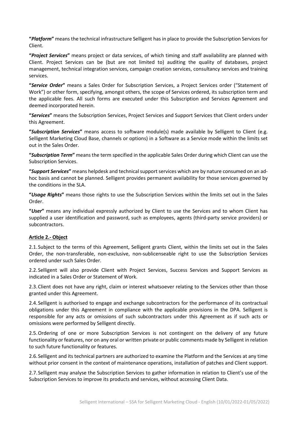**"***Platform***"** means the technical infrastructure Selligent has in place to provide the Subscription Services for Client.

**"***Project Services***"** means project or data services, of which timing and staff availability are planned with Client. Project Services can be (but are not limited to) auditing the quality of databases, project management, technical integration services, campaign creation services, consultancy services and training services.

**"***Service Order***"** means a Sales Order for Subscription Services, a Project Services order ("Statement of Work") or other form, specifying, amongst others, the scope of Services ordered, its subscription term and the applicable fees. All such forms are executed under this Subscription and Services Agreement and deemed incorporated herein.

**"***Services***"** means the Subscription Services, Project Services and Support Services that Client orders under this Agreement.

**"***Subscription Services***"** means access to software module(s) made available by Selligent to Client (e.g. Selligent Marketing Cloud Base, channels or options) in a Software as a Service mode within the limits set out in the Sales Order.

**"***Subscription Term***"** means the term specified in the applicable Sales Order during which Client can use the Subscription Services.

**"***Support Services***"** means helpdesk and technical support services which are by nature consumed on an adhoc basis and cannot be planned. Selligent provides permanent availability for those services governed by the conditions in the SLA.

**"***Usage Rights***"** means those rights to use the Subscription Services within the limits set out in the Sales Order.

**"***User***"** means any individual expressly authorized by Client to use the Services and to whom Client has supplied a user identification and password, such as employees, agents (third-party service providers) or subcontractors.

#### **Article 2.- Object**

2.1.Subject to the terms of this Agreement, Selligent grants Client, within the limits set out in the Sales Order, the non-transferable, non-exclusive, non-sublicenseable right to use the Subscription Services ordered under such Sales Order.

2.2.Selligent will also provide Client with Project Services, Success Services and Support Services as indicated in a Sales Order or Statement of Work.

2.3.Client does not have any right, claim or interest whatsoever relating to the Services other than those granted under this Agreement.

2.4.Selligent is authorised to engage and exchange subcontractors for the performance of its contractual obligations under this Agreement in compliance with the applicable provisions in the DPA. Selligent is responsible for any acts or omissions of such subcontractors under this Agreement as if such acts or omissions were performed by Selligent directly.

2.5.Ordering of one or more Subscription Services is not contingent on the delivery of any future functionality or features, nor on any oral or written private or public comments made by Selligent in relation to such future functionality or features.

2.6.Selligent and its technical partners are authorized to examine the Platform and the Services at any time without prior consent in the context of maintenance operations, installation of patches and Client support.

2.7.Selligent may analyse the Subscription Services to gather information in relation to Client's use of the Subscription Services to improve its products and services, without accessing Client Data.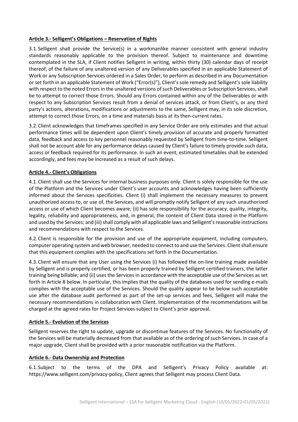#### **Article 3.- Selligent's Obligations – Reservation of Rights**

3.1.Selligent shall provide the Service(s) in a workmanlike manner consistent with general industry standards reasonably applicable to the provision thereof. Subject to maintenance and downtime contemplated in the SLA, if Client notifies Selligent in writing, within thirty (30) calendar days of receipt thereof, of the failure of any unaltered version of any Deliverables specified in an applicable Statement of Work or any Subscription Services ordered in a Sales Order, to perform as described in any Documentation or set forth in an applicable Statement of Work ("Error(s)"), Client's sole remedy and Selligent's sole liability with respect to the noted Errors in the unaltered versions of such Deliverables or Subscription Services, shall be to attempt to correct those Errors. Should any Errors contained within any of the Deliverables or with respect to any Subscription Services result from a denial of services attack, or from Client's, or any third party's actions, alterations, modifications or adjustments to the same, Selligent may, in its sole discretion, attempt to correct those Errors, on a time and materials basis at its then-current rates.

3.2.Client acknowledges that timeframes specified in any Service Order are only estimates and that actual performance times will be dependent upon Client's timely provision of accurate and properly formatted data, feedback and access to key personnel reasonably requested by Selligent from time-to-time. Selligent shall not be account able for any performance delays caused by Client's failure to timely provide such data, access or feedback required for its performance. In such an event, estimated timetables shall be extended accordingly, and fees may be increased as a result of such delays.

#### **Article 4.- Client's Obligations**

4.1.Client shall use the Services for internal business purposes only. Client is solely responsible for the use of the Platform and the Services under Client's user accounts and acknowledges having been sufficiently informed about the Services specificities. Client (i) shall implement the necessary measures to prevent unauthorized access to, or use of, the Services, and will promptly notify Selligent of any such unauthorized access or use of which Client becomes aware; (ii) has sole responsibility for the accuracy, quality, integrity, legality, reliability and appropriateness, and, in general, the content of Client Data stored in the Platform and used by the Services; and (iii) shall comply with all applicable laws and Selligent's reasonable instructions and recommendations with respect to the Services.

4.2.Client is responsible for the provision and use of the appropriate equipment, including computers, computer operating system and web browser, needed to connect to and use the Services. Client shall ensure that this equipment complies with the specifications set forth in the Documentation.

4.3.Client will ensure that any User using the Services (i) has followed the on-line training made available by Selligent and is properly certified, or has been properly trained by Selligent certified trainers, the latter training being billable; and (ii) uses the Services in accordance with the acceptable use of the Services as set forth in Article 8 below. In particular, this implies that the quality of the databases used for sending e-mails complies with the acceptable use of the Services. Should the quality appear to be below such acceptable use after the database audit performed as part of the set-up services and fees, Selligent will make the necessary recommendations in collaboration with Client. Implementation of the recommendations will be charged at the agreed rates for Project Services subject to Client's prior approval.

#### **Article 5.- Evolution of the Services**

Selligent reserves the right to update, upgrade or discontinue features of the Services. No functionality of the Services will be materially decreased from that available as of the ordering of such Services. In case of a major upgrade, Client shall be provided with a prior reasonable notification via the Platform.

#### **Article 6.- Data Ownership and Protection**

6.1.Subject to the terms of the DPA and Selligent's Privacy Policy available at: https://www.selligent.com/privacy-policy, Client agrees that Selligent may process Client Data.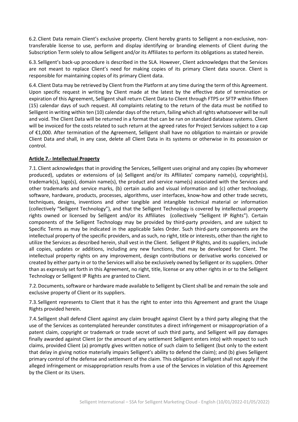6.2.Client Data remain Client's exclusive property. Client hereby grants to Selligent a non-exclusive, nontransferable license to use, perform and display identifying or branding elements of Client during the Subscription Term solely to allow Selligent and/or its Affiliates to perform its obligations as stated herein.

6.3.Selligent's back-up procedure is described in the SLA. However, Client acknowledges that the Services are not meant to replace Client's need for making copies of its primary Client data source. Client is responsible for maintaining copies of its primary Client data.

6.4.Client Data may be retrieved by Client from the Platform at any time during the term of this Agreement. Upon specific request in writing by Client made at the latest by the effective date of termination or expiration of this Agreement, Selligent shall return Client Data to Client through FTPS or SFTP within fifteen (15) calendar days of such request. All complaints relating to the return of the data must be notified to Selligent in writing within ten (10) calendar days of the return, failing which all rights whatsoever will be null and void. The Client Data will be returned in a format that can be run on standard database systems. Client will be invoiced for the costs related to such return at the agreed rates for Project Services subject to a cap of €1,000. After termination of the Agreement, Selligent shall have no obligation to maintain or provide Client Data and shall, in any case, delete all Client Data in its systems or otherwise in its possession or control.

#### **Article 7.- Intellectual Property**

7.1.Client acknowledges that in providing the Services, Selligent uses original and any copies (by whomever produced), updates or extensions of (a) Selligent and/or its Affiliates' company name(s), copyright(s), trademark(s), logo(s), domain name(s), the product and service name(s) associated with the Services and other trademarks and service marks, (b) certain audio and visual information and (c) other technology, software, hardware, products, processes, algorithms, user interfaces, know-how and other trade secrets, techniques, designs, inventions and other tangible and intangible technical material or information (collectively "Selligent Technology"), and that the Selligent Technology is covered by intellectual property rights owned or licensed by Selligent and/or its Affiliates (collectively "Selligent IP Rights"). Certain components of the Selligent Technology may be provided by third-party providers, and are subject to Specific Terms as may be indicated in the applicable Sales Order. Such third-party components are the intellectual property of the specific providers, and as such, no right, title or interests, other than the right to utilize the Services as described herein, shall vest in the Client. Selligent IP Rights, and its suppliers, include all copies, updates or additions, including any new functions, that may be developed for Client. The intellectual property rights on any improvement, design contributions or derivative works conceived or created by either party in or to the Services will also be exclusively owned by Selligent or its suppliers. Other than as expressly set forth in this Agreement, no right, title, license or any other rights in or to the Selligent Technology or Selligent IP Rights are granted to Client.

7.2.Documents, software or hardware made available to Selligent by Client shall be and remain the sole and exclusive property of Client or its suppliers.

7.3.Selligent represents to Client that it has the right to enter into this Agreement and grant the Usage Rights provided herein.

7.4.Selligent shall defend Client against any claim brought against Client by a third party alleging that the use of the Services as contemplated hereunder constitutes a direct infringement or misappropriation of a patent claim, copyright or trademark or trade secret of such third party, and Selligent will pay damages finally awarded against Client (or the amount of any settlement Selligent enters into) with respect to such claims, provided Client (a) promptly gives written notice of such claim to Selligent (but only to the extent that delay in giving notice materially impairs Selligent's ability to defend the claim); and (b) gives Selligent primary control of the defense and settlement of the claim. This obligation of Selligent shall not apply if the alleged infringement or misappropriation results from a use of the Services in violation of this Agreement by the Client or its Users.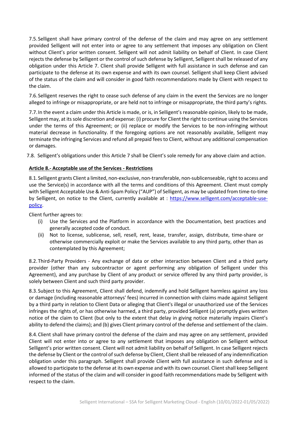7.5.Selligent shall have primary control of the defense of the claim and may agree on any settlement provided Selligent will not enter into or agree to any settlement that imposes any obligation on Client without Client's prior written consent. Selligent will not admit liability on behalf of Client. In case Client rejects the defense by Selligent or the control of such defense by Selligent, Selligent shall be released of any obligation under this Article 7. Client shall provide Selligent with full assistance in such defense and can participate to the defense at its own expense and with its own counsel. Selligent shall keep Client advised of the status of the claim and will consider in good faith recommendations made by Client with respect to the claim.

7.6.Selligent reserves the right to cease such defense of any claim in the event the Services are no longer alleged to infringe or misappropriate, or are held not to infringe or misappropriate, the third party's rights.

7.7.In the event a claim under this Article is made, or is, in Selligent's reasonable opinion, likely to be made, Selligent may, at its sole discretion and expense: (i) procure for Client the right to continue using the Services under the terms of this Agreement; or (ii) replace or modify the Services to be non-infringing without material decrease in functionality. If the foregoing options are not reasonably available, Selligent may terminate the infringing Services and refund all prepaid fees to Client, without any additional compensation or damages.

7.8. Selligent's obligations under this Article 7 shall be Client's sole remedy for any above claim and action.

#### **Article 8.- Acceptable use of the Services - Restrictions**

8.1. Selligent grants Client a limited, non-exclusive, non-transferable, non-sublicenseable, right to access and use the Service(s) in accordance with all the terms and conditions of this Agreement. Client must comply with Selligent Acceptable Use & Anti-Spam Policy ("AUP") of Selligent, as may be updated from time-to-time by Selligent, on notice to the Client, currently available at : [https://www.selligent.com/acceptable-use](https://www.selligent.com/acceptable-use-policy)[policy.](https://www.selligent.com/acceptable-use-policy)

Client further agrees to:

- (i) Use the Services and the Platform in accordance with the Documentation, best practices and generally accepted code of conduct.
- (ii) Not to license, sublicense, sell, resell, rent, lease, transfer, assign, distribute, time-share or otherwise commercially exploit or make the Services available to any third party, other than as contemplated by this Agreement;

8.2.Third-Party Providers - Any exchange of data or other interaction between Client and a third party provider (other than any subcontractor or agent performing any obligation of Selligent under this Agreement), and any purchase by Client of any product or service offered by any third party provider, is solely between Client and such third party provider.

8.3.Subject to this Agreement, Client shall defend, indemnify and hold Selligent harmless against any loss or damage (including reasonable attorneys' fees) incurred in connection with claims made against Selligent by a third party in relation to Client Data or alleging that Client's illegal or unauthorized use of the Services infringes the rights of, or has otherwise harmed, a third party, provided Selligent (a) promptly gives written notice of the claim to Client (but only to the extent that delay in giving notice materially impairs Client's ability to defend the claims); and (b) gives Client primary control of the defense and settlement of the claim.

8.4.Client shall have primary control the defense of the claim and may agree on any settlement, provided Client will not enter into or agree to any settlement that imposes any obligation on Selligent without Selligent's prior written consent. Client will not admit liability on behalf of Selligent. In case Selligent rejects the defense by Client or the control of such defense by Client, Client shall be released of any indemnification obligation under this paragraph. Selligent shall provide Client with full assistance in such defense and is allowed to participate to the defense at its own expense and with its own counsel. Client shall keep Selligent informed of the status of the claim and will consider in good faith recommendations made by Selligent with respect to the claim.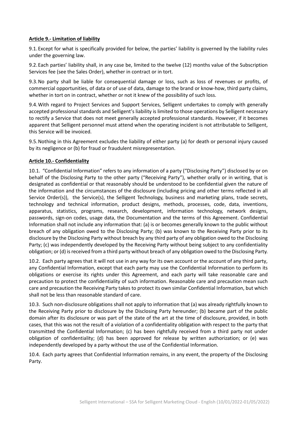#### **Article 9.- Limitation of liability**

9.1.Except for what is specifically provided for below, the parties' liability is governed by the liability rules under the governing law.

9.2.Each parties' liability shall, in any case be, limited to the twelve (12) months value of the Subscription Services fee (see the Sales Order), whether in contract or in tort.

9.3.No party shall be liable for consequential damage or loss, such as loss of revenues or profits, of commercial opportunities, of data or of use of data, damage to the brand or know-how, third party claims, whether in tort on in contract, whether or not it knew of the possibility of such loss.

9.4.With regard to Project Services and Support Services, Selligent undertakes to comply with generally accepted professional standards and Selligent's liability is limited to those operations by Selligent necessary to rectify a Service that does not meet generally accepted professional standards. However, if it becomes apparent that Selligent personnel must attend when the operating incident is not attributable to Selligent, this Service will be invoiced.

9.5.Nothing in this Agreement excludes the liability of either party (a) for death or personal injury caused by its negligence or (b) for fraud or fraudulent misrepresentation.

#### **Article 10.- Confidentiality**

10.1. "Confidential Information" refers to any information of a party ("Disclosing Party") disclosed by or on behalf of the Disclosing Party to the other party ("Receiving Party"), whether orally or in writing, that is designated as confidential or that reasonably should be understood to be confidential given the nature of the information and the circumstances of the disclosure (including pricing and other terms reflected in all Service Order(s)), the Service(s), the Selligent Technology, business and marketing plans, trade secrets, technology and technical information, product designs, methods, processes, code, data, inventions, apparatus, statistics, programs, research, development, information technology, network designs, passwords, sign-on codes, usage data, the Documentation and the terms of this Agreement. Confidential Information shall not include any information that: (a) is or becomes generally known to the public without breach of any obligation owed to the Disclosing Party; (b) was known to the Receiving Party prior to its disclosure by the Disclosing Party without breach by any third party of any obligation owed to the Disclosing Party; (c) was independently developed by the Receiving Party without being subject to any confidentiality obligation; or (d) is received from a third party without breach of any obligation owed to the Disclosing Party.

10.2. Each party agrees that it will not use in any way for its own account or the account of any third party, any Confidential Information, except that each party may use the Confidential Information to perform its obligations or exercise its rights under this Agreement, and each party will take reasonable care and precaution to protect the confidentiality of such information. Reasonable care and precaution mean such care and precaution the Receiving Party takes to protect its own similar Confidential Information, but which shall not be less than reasonable standard of care.

10.3. Such non-disclosure obligations shall not apply to information that (a) was already rightfully known to the Receiving Party prior to disclosure by the Disclosing Party hereunder; (b) became part of the public domain after its disclosure or was part of the state of the art at the time of disclosure, provided, in both cases, that this was not the result of a violation of a confidentiality obligation with respect to the party that transmitted the Confidential Information; (c) has been rightfully received from a third party not under obligation of confidentiality; (d) has been approved for release by written authorization; or (e) was independently developed by a party without the use of the Confidential Information.

10.4. Each party agrees that Confidential Information remains, in any event, the property of the Disclosing Party.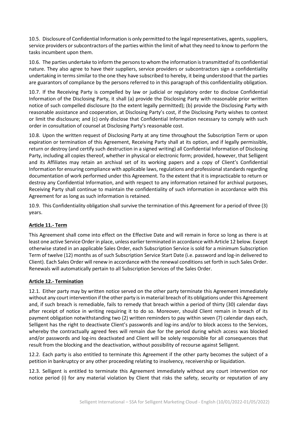10.5. Disclosure of Confidential Information is only permitted to the legal representatives, agents, suppliers, service providers or subcontractors of the parties within the limit of what they need to know to perform the tasks incumbent upon them.

10.6. The parties undertake to inform the persons to whom the information is transmitted of its confidential nature. They also agree to have their suppliers, service providers or subcontractors sign a confidentiality undertaking in terms similar to the one they have subscribed to hereby, it being understood that the parties are guarantors of compliance by the persons referred to in this paragraph of this confidentiality obligation.

10.7. If the Receiving Party is compelled by law or judicial or regulatory order to disclose Confidential Information of the Disclosing Party, it shall (a) provide the Disclosing Party with reasonable prior written notice of such compelled disclosure (to the extent legally permitted); (b) provide the Disclosing Party with reasonable assistance and cooperation, at Disclosing Party's cost, if the Disclosing Party wishes to contest or limit the disclosure; and (c) only disclose that Confidential Information necessary to comply with such order in consultation of counsel at Disclosing Party's reasonable cost.

10.8. Upon the written request of Disclosing Party at any time throughout the Subscription Term or upon expiration or termination of this Agreement, Receiving Party shall at its option, and if legally permissible, return or destroy (and certify such destruction in a signed writing) all Confidential Information of Disclosing Party, including all copies thereof, whether in physical or electronic form; provided, however, that Selligent and its Affiliates may retain an archival set of its working papers and a copy of Client's Confidential Information for ensuring compliance with applicable laws, regulations and professional standards regarding documentation of work performed under this Agreement. To the extent that it is impracticable to return or destroy any Confidential Information, and with respect to any information retained for archival purposes, Receiving Party shall continue to maintain the confidentiality of such information in accordance with this Agreement for as long as such information is retained.

10.9. This Confidentiality obligation shall survive the termination of this Agreement for a period of three (3) years.

# **Article 11.- Term**

This Agreement shall come into effect on the Effective Date and will remain in force so long as there is at least one active Service Order in place, unless earlier terminated in accordance with Article 12 below. Except otherwise stated in an applicable Sales Order, each Subscription Service is sold for a minimum Subscription Term of twelve (12) months as of such Subscription Service Start Date (i.e. password and log-in delivered to Client). Each Sales Order will renew in accordance with the renewal conditions set forth in such Sales Order. Renewals will automatically pertain to all Subscription Services of the Sales Order.

# **Article 12.- Termination**

12.1. Either party may by written notice served on the other party terminate this Agreement immediately without any court intervention if the other party is in material breach of its obligations under this Agreement and, if such breach is remediable, fails to remedy that breach within a period of thirty (30) calendar days after receipt of notice in writing requiring it to do so. Moreover, should Client remain in breach of its payment obligation notwithstanding two (2) written reminders to pay within seven (7) calendar days each, Selligent has the right to deactivate Client's passwords and log-ins and/or to block access to the Services, whereby the contractually agreed fees will remain due for the period during which access was blocked and/or passwords and log-ins deactivated and Client will be solely responsible for all consequences that result from the blocking and the deactivation, without possibility of recourse against Selligent.

12.2. Each party is also entitled to terminate this Agreement if the other party becomes the subject of a petition in bankruptcy or any other proceeding relating to insolvency, receivership or liquidation.

12.3. Selligent is entitled to terminate this Agreement immediately without any court intervention nor notice period (i) for any material violation by Client that risks the safety, security or reputation of any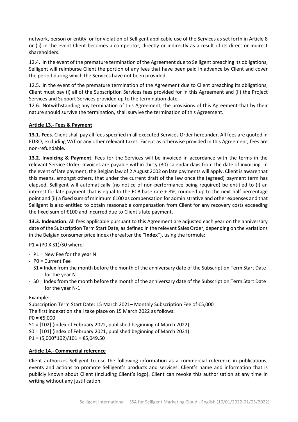network, person or entity, or for violation of Selligent applicable use of the Services as set forth in Article 8 or (ii) in the event Client becomes a competitor, directly or indirectly as a result of its direct or indirect shareholders.

12.4. In the event of the premature termination of the Agreement due to Selligent breaching its obligations, Selligent will reimburse Client the portion of any fees that have been paid in advance by Client and cover the period during which the Services have not been provided.

12.5. In the event of the premature termination of the Agreement due to Client breaching its obligations, Client must pay (i) all of the Subscription Services fees provided for in this Agreement and (ii) the Project Services and Support Services provided up to the termination date.

12.6. Notwithstanding any termination of this Agreement, the provisions of this Agreement that by their nature should survive the termination, shall survive the termination of this Agreement.

# **Article 13.- Fees & Payment**

**13.1. Fees**. Client shall pay all fees specified in all executed Services Order hereunder. All fees are quoted in EURO, excluding VAT or any other relevant taxes. Except as otherwise provided in this Agreement, fees are non-refundable.

**13.2. Invoicing & Payment**. Fees for the Services will be invoiced in accordance with the terms in the relevant Service Order. Invoices are payable within thirty (30) calendar days from the date of invoicing. In the event of late payment, the Belgian law of 2 August 2002 on late payments will apply. Client is aware that this means, amongst others, that under the current draft of the law once the (agreed) payment term has elapsed, Selligent will automatically (no notice of non-performance being required) be entitled to (i) an interest for late payment that is equal to the ECB base rate + 8%, rounded up to the next half percentage point and (ii) a fixed sum of minimum €100 as compensation for administrative and other expenses and that Selligent is also entitled to obtain reasonable compensation from Client for any recovery costs exceeding the fixed sum of €100 and incurred due to Client's late payment.

**13.3. Indexation.** All fees applicable pursuant to this Agreement are adjusted each year on the anniversary date of the Subscription Term Start Date, as defined in the relevant Sales Order, depending on the variations in the Belgian consumer price index (hereafter the "**Index**"), using the formula:

P1 = (P0 X S1)/S0 where:

- P1 = New Fee for the year N
- P0 = Current Fee
- S1 = Index from the month before the month of the anniversary date of the Subscription Term Start Date for the year N
- S0 = Index from the month before the month of the anniversary date of the Subscription Term Start Date for the year N-1

# Example:

Subscription Term Start Date: 15 March 2021– Monthly Subscription Fee of €5,000 The first indexation shall take place on 15 March 2022 as follows:  $PO = £5,000$ S1 = [102] (index of February 2022, published beginning of March 2022) S0 = [101] (index of February 2021, published beginning of March 2021)

 $P1 = (5,000*102)/101 = \text{\textsterling}5,049.50$ 

# **Article 14.- Commercial reference**

Client authorizes Selligent to use the following information as a commercial reference in publications, events and actions to promote Selligent's products and services: Client's name and information that is publicly known about Client (including Client's logo). Client can revoke this authorisation at any time in writing without any justification.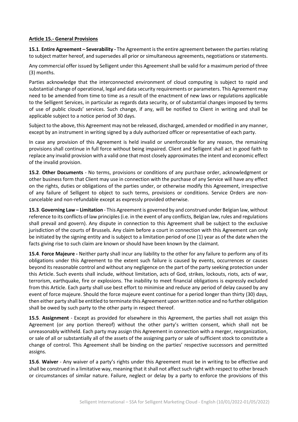#### **Article 15.- General Provisions**

**15.1**. **Entire Agreement – Severability -** The Agreement is the entire agreement between the parties relating to subject matter hereof, and supersedes all prior or simultaneous agreements, negotiations or statements.

Any commercial offer issued by Selligent under this Agreement shall be valid for a maximum period of three (3) months.

Parties acknowledge that the interconnected environment of cloud computing is subject to rapid and substantial change of operational, legal and data security requirements or parameters. This Agreement may need to be amended from time to time as a result of the enactment of new laws or regulations applicable to the Selligent Services, in particular as regards data security, or of substantial changes imposed by terms of use of public clouds' services. Such change, if any, will be notified to Client in writing and shall be applicable subject to a notice period of 30 days.

Subject to the above, this Agreement may not be released, discharged, amended or modified in any manner, except by an instrument in writing signed by a duly authorized officer or representative of each party.

In case any provision of this Agreement is held invalid or unenforceable for any reason, the remaining provisions shall continue in full force without being impaired. Client and Selligent shall act in good faith to replace any invalid provision with a valid one that most closely approximates the intent and economic effect of the invalid provision.

**15.2**. **Other Documents** - No terms, provisions or conditions of any purchase order, acknowledgment or other business form that Client may use in connection with the purchase of any Service will have any effect on the rights, duties or obligations of the parties under, or otherwise modify this Agreement, irrespective of any failure of Selligent to object to such terms, provisions or conditions. Service Orders are noncancelable and non-refundable except as expressly provided otherwise.

**15.3**. **Governing Law – Limitation** - This Agreement is governed by and construed under Belgian law, without reference to its conflicts of law principles (i.e. in the event of any conflicts, Belgian law, rules and regulations shall prevail and govern). Any dispute in connection to this Agreement shall be subject to the exclusive jurisdiction of the courts of Brussels. Any claim before a court in connection with this Agreement can only be initiated by the signing entity and is subject to a limitation period of one (1) year as of the date when the facts giving rise to such claim are known or should have been known by the claimant.

**15.4**. **Force Majeure -** Neither party shall incur any liability to the other for any failure to perform any of its obligations under this Agreement to the extent such failure is caused by events, occurrences or causes beyond its reasonable control and without any negligence on the part of the party seeking protection under this Article. Such events shall include, without limitation, acts of God, strikes, lockouts, riots, acts of war, terrorism, earthquake, fire or explosions. The inability to meet financial obligations is expressly excluded from this Article. Each party shall use best effort to minimise and reduce any period of delay caused by any event of force majeure. Should the force majeure event continue for a period longer than thirty (30) days, then either party shall be entitled to terminate this Agreement upon written notice and no further obligation shall be owed by such party to the other party in respect thereof.

**15.5**. **Assignment** - Except as provided for elsewhere in this Agreement, the parties shall not assign this Agreement (or any portion thereof) without the other party's written consent, which shall not be unreasonably withheld. Each party may assign this Agreement in connection with a merger, reorganization, or sale of all or substantially all of the assets of the assigning party or sale of sufficient stock to constitute a change of control. This Agreement shall be binding on the parties' respective successors and permitted assigns.

**15.6**. **Waiver** - Any waiver of a party's rights under this Agreement must be in writing to be effective and shall be construed in a limitative way, meaning that it shall not affect such right with respect to other breach or circumstances of similar nature. Failure, neglect or delay by a party to enforce the provisions of this